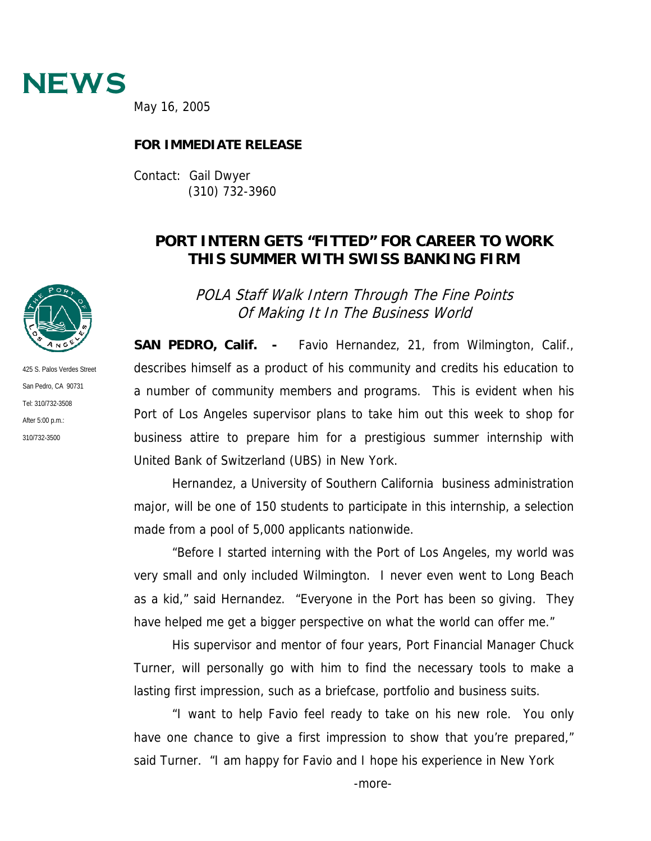

May 16, 2005

## **FOR IMMEDIATE RELEASE**

Contact: Gail Dwyer (310) 732-3960

## **PORT INTERN GETS "FITTED" FOR CAREER TO WORK THIS SUMMER WITH SWISS BANKING FIRM**

POLA Staff Walk Intern Through The Fine Points Of Making It In The Business World

**SAN PEDRO, Calif. -** Favio Hernandez, 21, from Wilmington, Calif., describes himself as a product of his community and credits his education to a number of community members and programs. This is evident when his Port of Los Angeles supervisor plans to take him out this week to shop for business attire to prepare him for a prestigious summer internship with United Bank of Switzerland (UBS) in New York.

Hernandez, a University of Southern California business administration major, will be one of 150 students to participate in this internship, a selection made from a pool of 5,000 applicants nationwide.

"Before I started interning with the Port of Los Angeles, my world was very small and only included Wilmington. I never even went to Long Beach as a kid," said Hernandez. "Everyone in the Port has been so giving. They have helped me get a bigger perspective on what the world can offer me."

His supervisor and mentor of four years, Port Financial Manager Chuck Turner, will personally go with him to find the necessary tools to make a lasting first impression, such as a briefcase, portfolio and business suits.

"I want to help Favio feel ready to take on his new role. You only have one chance to give a first impression to show that you're prepared," said Turner. "I am happy for Favio and I hope his experience in New York



425 S. Palos Verdes Street San Pedro, CA 90731 Tel: 310/732-3508 After 5:00 p.m.: 310/732-3500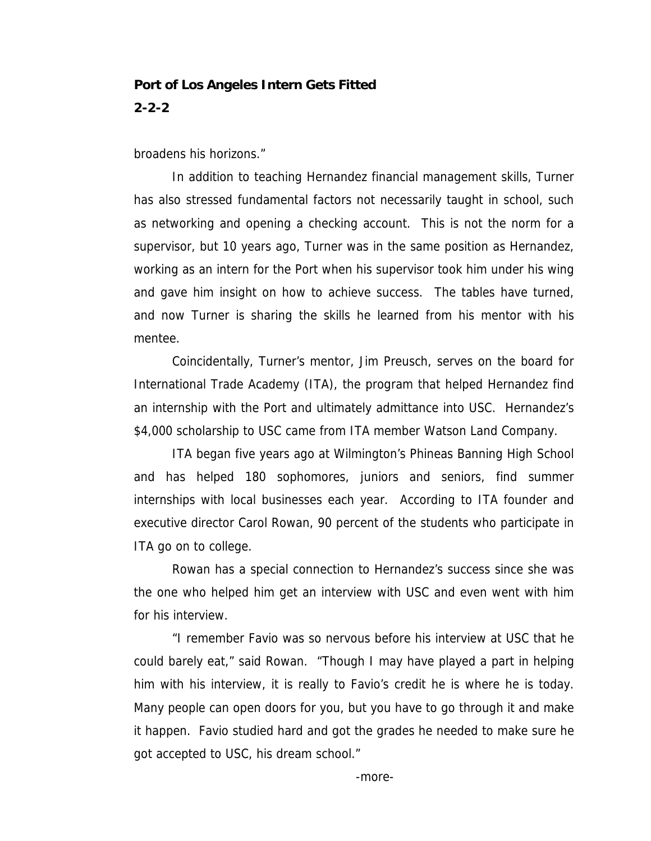## **Port of Los Angeles Intern Gets Fitted 2-2-2**

broadens his horizons."

In addition to teaching Hernandez financial management skills, Turner has also stressed fundamental factors not necessarily taught in school, such as networking and opening a checking account. This is not the norm for a supervisor, but 10 years ago, Turner was in the same position as Hernandez, working as an intern for the Port when his supervisor took him under his wing and gave him insight on how to achieve success. The tables have turned, and now Turner is sharing the skills he learned from his mentor with his mentee.

Coincidentally, Turner's mentor, Jim Preusch, serves on the board for International Trade Academy (ITA), the program that helped Hernandez find an internship with the Port and ultimately admittance into USC. Hernandez's \$4,000 scholarship to USC came from ITA member Watson Land Company.

ITA began five years ago at Wilmington's Phineas Banning High School and has helped 180 sophomores, juniors and seniors, find summer internships with local businesses each year. According to ITA founder and executive director Carol Rowan, 90 percent of the students who participate in ITA go on to college.

Rowan has a special connection to Hernandez's success since she was the one who helped him get an interview with USC and even went with him for his interview.

"I remember Favio was so nervous before his interview at USC that he could barely eat," said Rowan. "Though I may have played a part in helping him with his interview, it is really to Favio's credit he is where he is today. Many people can open doors for you, but you have to go through it and make it happen. Favio studied hard and got the grades he needed to make sure he got accepted to USC, his dream school."

-more-